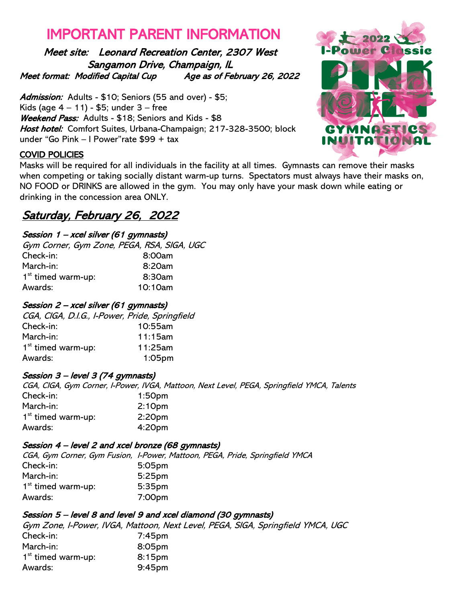# IMPORTANT PARENT INFORMATION

Meet site: Leonard Recreation Center, 2307 West Sangamon Drive, Champaign, IL Meet format: Modified Capital Cup Age as of February 26, 2022

Admission: Adults - \$10; Seniors (55 and over) - \$5; Kids (age  $4 - 11$ ) - \$5; under  $3 -$  free Weekend Pass: Adults - \$18; Seniors and Kids - \$8 Host hotel: Comfort Suites, Urbana-Champaign; 217-328-3500; block under "Go Pink – I Power"rate \$99 + tax

## COVID POLICIES

 when competing or taking socially distant warm-up turns. Spectators must always have their masks on, Masks will be required for all individuals in the facility at all times. Gymnasts can remove their masks NO FOOD or DRINKS are allowed in the gym. You may only have your mask down while eating or drinking in the concession area ONLY.

# Saturday, February 26, 2022

## Session 1 – xcel silver (61 gymnasts)

| Gym Corner, Gym Zone, PEGA, RSA, SIGA, UGC |
|--------------------------------------------|
| 8:00am                                     |
| 8:20am                                     |
| 8:30am                                     |
| 10:10am                                    |
|                                            |

### Session 2 – xcel silver (61 gymnasts)

CGA, CIGA, D.I.G., I-Power, Pride, Springfield Check-in: 10:55am March-in: 11:15am 1st timed warm-up: 11:25am Awards: 1:05pm

#### Session 3 – level 3 (74 gymnasts)

CGA, CIGA, Gym Corner, I-Power, IVGA, Mattoon, Next Level, PEGA, Springfield YMCA, Talents Check-in: 1:50pm March-in: 2:10pm 1<sup>st</sup> timed warm-up: 2:20pm Awards: 4:20pm

## Session 4 – level 2 and xcel bronze (68 gymnasts)

CGA, Gym Corner, Gym Fusion, I-Power, Mattoon, PEGA, Pride, Springfield YMCA Check-in: 5:05pm March-in: 5:25pm 1<sup>st</sup> timed warm-up: 5:35pm Awards: 7:00pm

## Session 5 – level 8 and level 9 and xcel diamond (30 gymnasts)

Gym Zone, I-Power, IVGA, Mattoon, Next Level, PEGA, SIGA, Springfield YMCA, UGC Check-in: 7:45pm March-in: 8:05pm 1<sup>st</sup> timed warm-up: 8:15pm Awards: 9:45pm